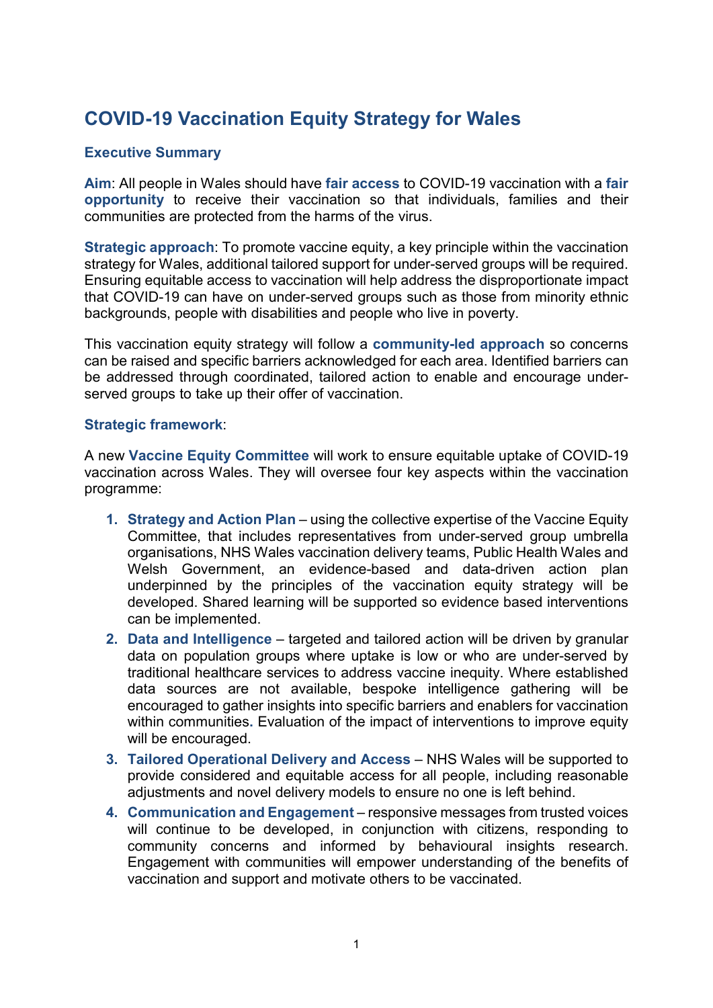# COVID-19 Vaccination Equity Strategy for Wales

### Executive Summary

Aim: All people in Wales should have fair access to COVID-19 vaccination with a fair opportunity to receive their vaccination so that individuals, families and their communities are protected from the harms of the virus.

Strategic approach: To promote vaccine equity, a key principle within the vaccination strategy for Wales, additional tailored support for under-served groups will be required. Ensuring equitable access to vaccination will help address the disproportionate impact that COVID-19 can have on under-served groups such as those from minority ethnic backgrounds, people with disabilities and people who live in poverty.

This vaccination equity strategy will follow a community-led approach so concerns can be raised and specific barriers acknowledged for each area. Identified barriers can be addressed through coordinated, tailored action to enable and encourage underserved groups to take up their offer of vaccination.

#### Strategic framework:

A new Vaccine Equity Committee will work to ensure equitable uptake of COVID-19 vaccination across Wales. They will oversee four key aspects within the vaccination programme:

- 1. Strategy and Action Plan using the collective expertise of the Vaccine Equity Committee, that includes representatives from under-served group umbrella organisations, NHS Wales vaccination delivery teams, Public Health Wales and Welsh Government, an evidence-based and data-driven action plan underpinned by the principles of the vaccination equity strategy will be developed. Shared learning will be supported so evidence based interventions can be implemented.
- 2. Data and Intelligence targeted and tailored action will be driven by granular data on population groups where uptake is low or who are under-served by traditional healthcare services to address vaccine inequity. Where established data sources are not available, bespoke intelligence gathering will be encouraged to gather insights into specific barriers and enablers for vaccination within communities. Evaluation of the impact of interventions to improve equity will be encouraged.
- 3. Tailored Operational Delivery and Access NHS Wales will be supported to provide considered and equitable access for all people, including reasonable adjustments and novel delivery models to ensure no one is left behind.
- 4. Communication and Engagement responsive messages from trusted voices will continue to be developed, in conjunction with citizens, responding to community concerns and informed by behavioural insights research. Engagement with communities will empower understanding of the benefits of vaccination and support and motivate others to be vaccinated.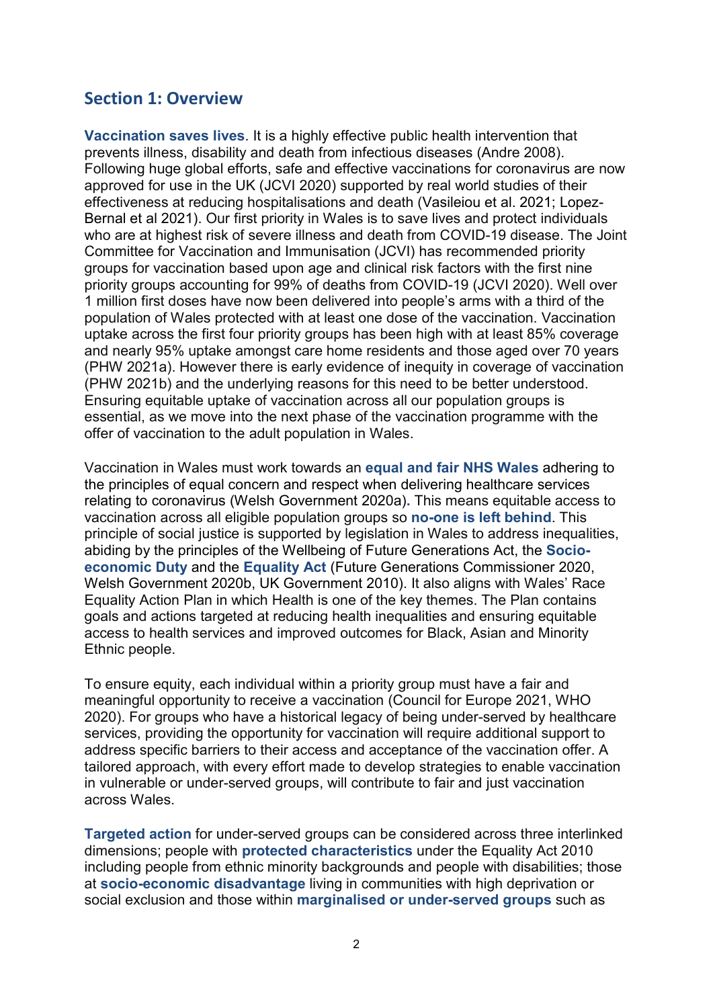# Section 1: Overview

Vaccination saves lives. It is a highly effective public health intervention that prevents illness, disability and death from infectious diseases (Andre 2008). Following huge global efforts, safe and effective vaccinations for coronavirus are now approved for use in the UK (JCVI 2020) supported by real world studies of their effectiveness at reducing hospitalisations and death (Vasileiou et al. 2021; Lopez-Bernal et al 2021). Our first priority in Wales is to save lives and protect individuals who are at highest risk of severe illness and death from COVID-19 disease. The Joint Committee for Vaccination and Immunisation (JCVI) has recommended priority groups for vaccination based upon age and clinical risk factors with the first nine priority groups accounting for 99% of deaths from COVID-19 (JCVI 2020). Well over 1 million first doses have now been delivered into people's arms with a third of the population of Wales protected with at least one dose of the vaccination. Vaccination uptake across the first four priority groups has been high with at least 85% coverage and nearly 95% uptake amongst care home residents and those aged over 70 years (PHW 2021a). However there is early evidence of inequity in coverage of vaccination (PHW 2021b) and the underlying reasons for this need to be better understood. Ensuring equitable uptake of vaccination across all our population groups is essential, as we move into the next phase of the vaccination programme with the offer of vaccination to the adult population in Wales.

Vaccination in Wales must work towards an equal and fair NHS Wales adhering to the principles of equal concern and respect when delivering healthcare services relating to coronavirus (Welsh Government 2020a). This means equitable access to vaccination across all eligible population groups so no-one is left behind. This principle of social justice is supported by legislation in Wales to address inequalities, abiding by the principles of the Wellbeing of Future Generations Act, the Socioeconomic Duty and the Equality Act (Future Generations Commissioner 2020, Welsh Government 2020b, UK Government 2010). It also aligns with Wales' Race Equality Action Plan in which Health is one of the key themes. The Plan contains goals and actions targeted at reducing health inequalities and ensuring equitable access to health services and improved outcomes for Black, Asian and Minority Ethnic people.

To ensure equity, each individual within a priority group must have a fair and meaningful opportunity to receive a vaccination (Council for Europe 2021, WHO 2020). For groups who have a historical legacy of being under-served by healthcare services, providing the opportunity for vaccination will require additional support to address specific barriers to their access and acceptance of the vaccination offer. A tailored approach, with every effort made to develop strategies to enable vaccination in vulnerable or under-served groups, will contribute to fair and just vaccination across Wales.

Targeted action for under-served groups can be considered across three interlinked dimensions; people with protected characteristics under the Equality Act 2010 including people from ethnic minority backgrounds and people with disabilities; those at socio-economic disadvantage living in communities with high deprivation or social exclusion and those within marginalised or under-served groups such as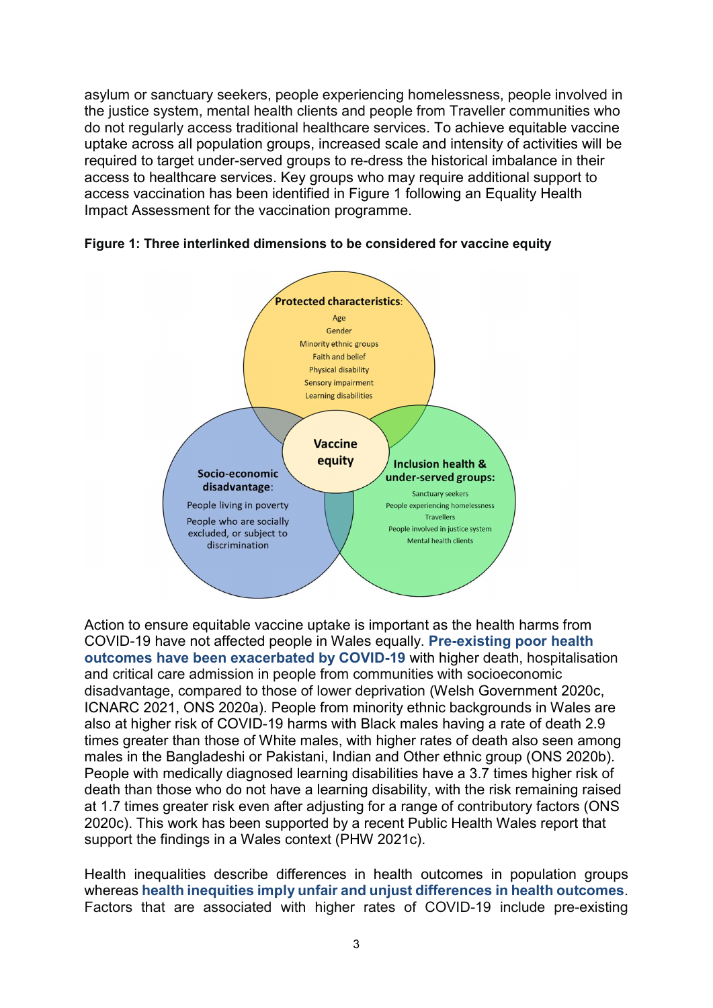asylum or sanctuary seekers, people experiencing homelessness, people involved in the justice system, mental health clients and people from Traveller communities who do not regularly access traditional healthcare services. To achieve equitable vaccine uptake across all population groups, increased scale and intensity of activities will be required to target under-served groups to re-dress the historical imbalance in their access to healthcare services. Key groups who may require additional support to access vaccination has been identified in Figure 1 following an Equality Health Impact Assessment for the vaccination programme.



Figure 1: Three interlinked dimensions to be considered for vaccine equity

Action to ensure equitable vaccine uptake is important as the health harms from COVID-19 have not affected people in Wales equally. Pre-existing poor health outcomes have been exacerbated by COVID-19 with higher death, hospitalisation and critical care admission in people from communities with socioeconomic disadvantage, compared to those of lower deprivation (Welsh Government 2020c, ICNARC 2021, ONS 2020a). People from minority ethnic backgrounds in Wales are also at higher risk of COVID-19 harms with Black males having a rate of death 2.9 times greater than those of White males, with higher rates of death also seen among males in the Bangladeshi or Pakistani, Indian and Other ethnic group (ONS 2020b). People with medically diagnosed learning disabilities have a 3.7 times higher risk of death than those who do not have a learning disability, with the risk remaining raised at 1.7 times greater risk even after adjusting for a range of contributory factors (ONS 2020c). This work has been supported by a recent Public Health Wales report that support the findings in a Wales context (PHW 2021c).

Health inequalities describe differences in health outcomes in population groups whereas health inequities imply unfair and unjust differences in health outcomes. Factors that are associated with higher rates of COVID-19 include pre-existing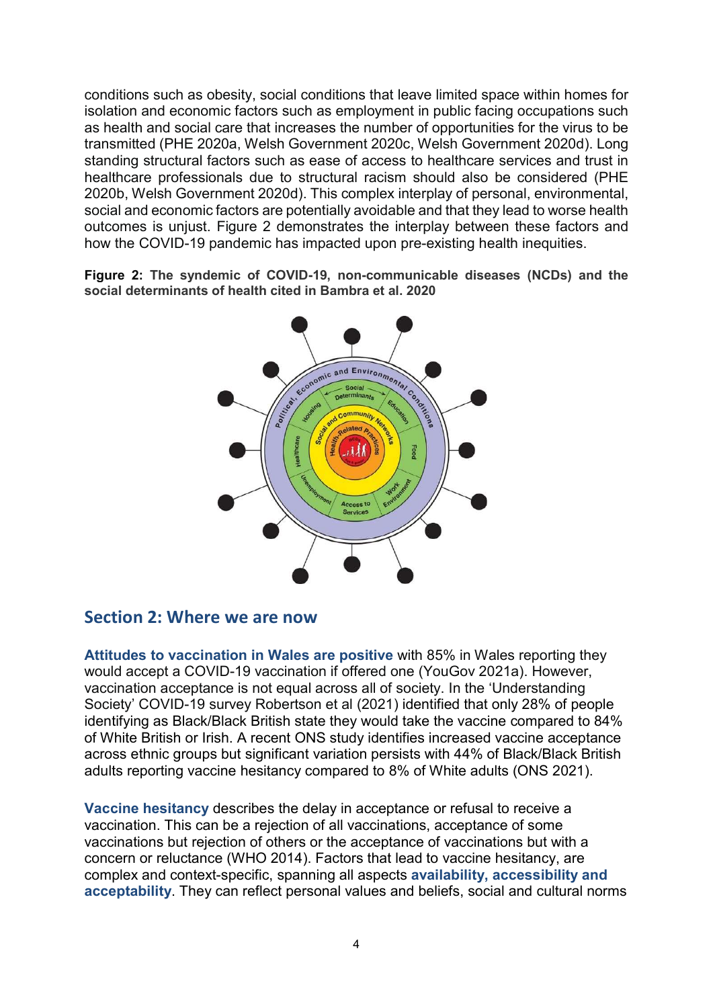conditions such as obesity, social conditions that leave limited space within homes for isolation and economic factors such as employment in public facing occupations such as health and social care that increases the number of opportunities for the virus to be transmitted (PHE 2020a, Welsh Government 2020c, Welsh Government 2020d). Long standing structural factors such as ease of access to healthcare services and trust in healthcare professionals due to structural racism should also be considered (PHE 2020b, Welsh Government 2020d). This complex interplay of personal, environmental, social and economic factors are potentially avoidable and that they lead to worse health outcomes is unjust. Figure 2 demonstrates the interplay between these factors and how the COVID-19 pandemic has impacted upon pre-existing health inequities.

Figure 2: The syndemic of COVID-19, non-communicable diseases (NCDs) and the social determinants of health cited in Bambra et al. 2020



## Section 2: Where we are now

Attitudes to vaccination in Wales are positive with 85% in Wales reporting they would accept a COVID-19 vaccination if offered one (YouGov 2021a). However, vaccination acceptance is not equal across all of society. In the 'Understanding Society' COVID-19 survey Robertson et al (2021) identified that only 28% of people identifying as Black/Black British state they would take the vaccine compared to 84% of White British or Irish. A recent ONS study identifies increased vaccine acceptance across ethnic groups but significant variation persists with 44% of Black/Black British adults reporting vaccine hesitancy compared to 8% of White adults (ONS 2021).

Vaccine hesitancy describes the delay in acceptance or refusal to receive a vaccination. This can be a rejection of all vaccinations, acceptance of some vaccinations but rejection of others or the acceptance of vaccinations but with a concern or reluctance (WHO 2014). Factors that lead to vaccine hesitancy, are complex and context-specific, spanning all aspects availability, accessibility and acceptability. They can reflect personal values and beliefs, social and cultural norms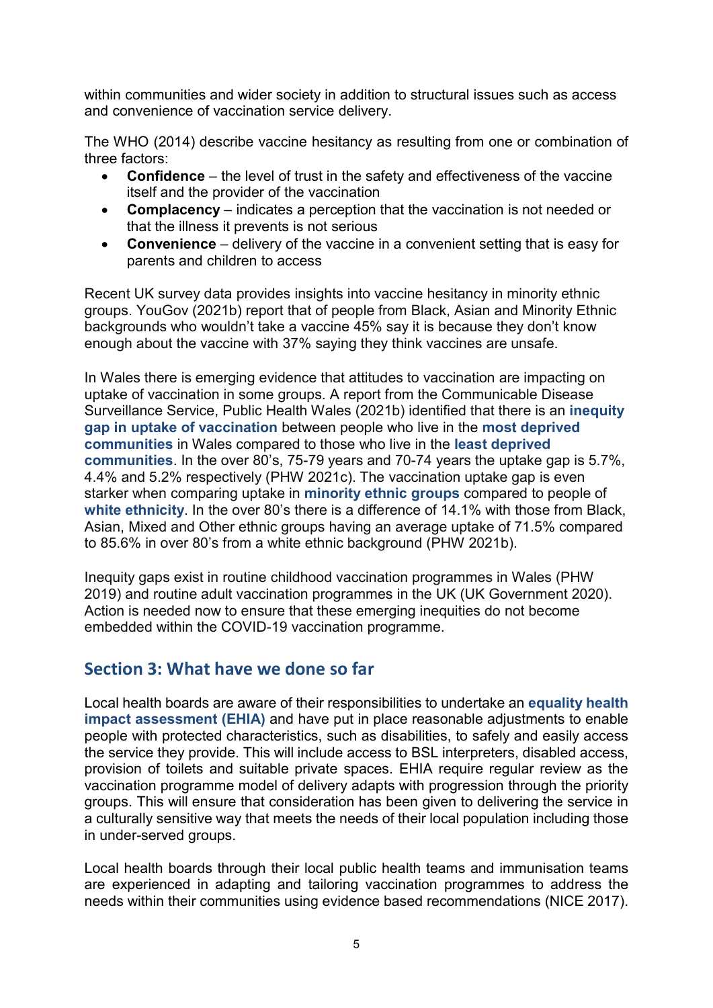within communities and wider society in addition to structural issues such as access and convenience of vaccination service delivery.

The WHO (2014) describe vaccine hesitancy as resulting from one or combination of three factors:

- Confidence the level of trust in the safety and effectiveness of the vaccine itself and the provider of the vaccination
- Complacency indicates a perception that the vaccination is not needed or that the illness it prevents is not serious
- Convenience delivery of the vaccine in a convenient setting that is easy for parents and children to access

Recent UK survey data provides insights into vaccine hesitancy in minority ethnic groups. YouGov (2021b) report that of people from Black, Asian and Minority Ethnic backgrounds who wouldn't take a vaccine 45% say it is because they don't know enough about the vaccine with 37% saying they think vaccines are unsafe.

In Wales there is emerging evidence that attitudes to vaccination are impacting on uptake of vaccination in some groups. A report from the Communicable Disease Surveillance Service, Public Health Wales (2021b) identified that there is an inequity gap in uptake of vaccination between people who live in the most deprived communities in Wales compared to those who live in the least deprived communities. In the over 80's, 75-79 years and 70-74 years the uptake gap is 5.7%, 4.4% and 5.2% respectively (PHW 2021c). The vaccination uptake gap is even starker when comparing uptake in minority ethnic groups compared to people of white ethnicity. In the over 80's there is a difference of 14.1% with those from Black, Asian, Mixed and Other ethnic groups having an average uptake of 71.5% compared to 85.6% in over 80's from a white ethnic background (PHW 2021b).

Inequity gaps exist in routine childhood vaccination programmes in Wales (PHW 2019) and routine adult vaccination programmes in the UK (UK Government 2020). Action is needed now to ensure that these emerging inequities do not become embedded within the COVID-19 vaccination programme.

# Section 3: What have we done so far

Local health boards are aware of their responsibilities to undertake an equality health impact assessment (EHIA) and have put in place reasonable adjustments to enable people with protected characteristics, such as disabilities, to safely and easily access the service they provide. This will include access to BSL interpreters, disabled access, provision of toilets and suitable private spaces. EHIA require regular review as the vaccination programme model of delivery adapts with progression through the priority groups. This will ensure that consideration has been given to delivering the service in a culturally sensitive way that meets the needs of their local population including those in under-served groups.

Local health boards through their local public health teams and immunisation teams are experienced in adapting and tailoring vaccination programmes to address the needs within their communities using evidence based recommendations (NICE 2017).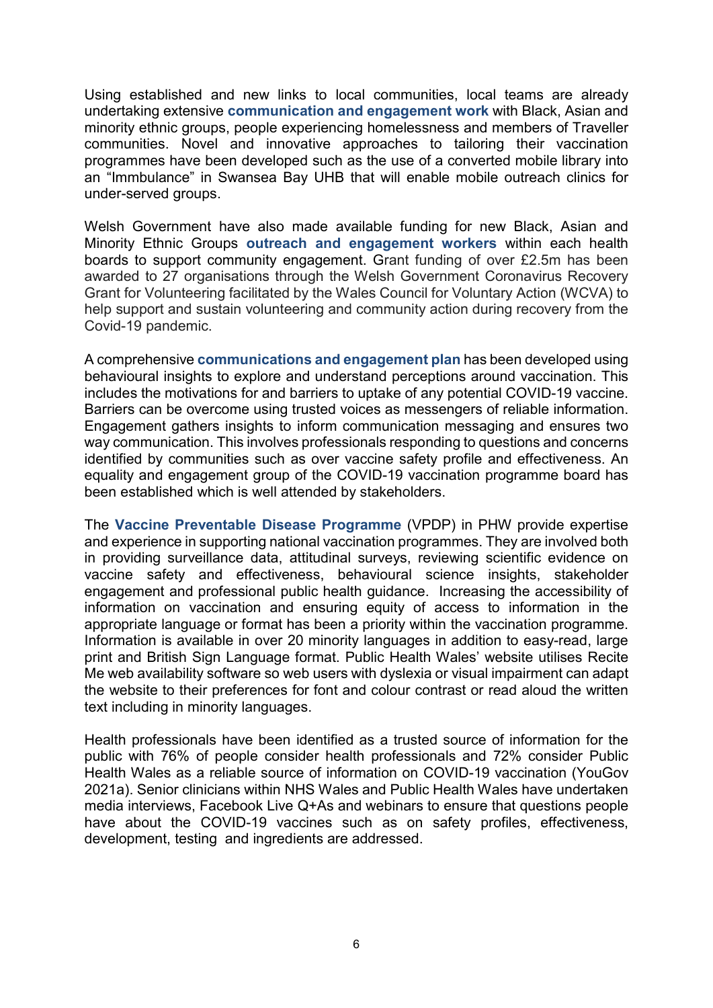Using established and new links to local communities, local teams are already undertaking extensive communication and engagement work with Black, Asian and minority ethnic groups, people experiencing homelessness and members of Traveller communities. Novel and innovative approaches to tailoring their vaccination programmes have been developed such as the use of a converted mobile library into an "Immbulance" in Swansea Bay UHB that will enable mobile outreach clinics for under-served groups.

Welsh Government have also made available funding for new Black, Asian and Minority Ethnic Groups outreach and engagement workers within each health boards to support community engagement. Grant funding of over £2.5m has been awarded to 27 organisations through the Welsh Government Coronavirus Recovery Grant for Volunteering facilitated by the Wales Council for Voluntary Action (WCVA) to help support and sustain volunteering and community action during recovery from the Covid-19 pandemic.

A comprehensive communications and engagement plan has been developed using behavioural insights to explore and understand perceptions around vaccination. This includes the motivations for and barriers to uptake of any potential COVID-19 vaccine. Barriers can be overcome using trusted voices as messengers of reliable information. Engagement gathers insights to inform communication messaging and ensures two way communication. This involves professionals responding to questions and concerns identified by communities such as over vaccine safety profile and effectiveness. An equality and engagement group of the COVID-19 vaccination programme board has been established which is well attended by stakeholders.

The Vaccine Preventable Disease Programme (VPDP) in PHW provide expertise and experience in supporting national vaccination programmes. They are involved both in providing surveillance data, attitudinal surveys, reviewing scientific evidence on vaccine safety and effectiveness, behavioural science insights, stakeholder engagement and professional public health guidance. Increasing the accessibility of information on vaccination and ensuring equity of access to information in the appropriate language or format has been a priority within the vaccination programme. Information is available in over 20 minority languages in addition to easy-read, large print and British Sign Language format. Public Health Wales' website utilises Recite Me web availability software so web users with dyslexia or visual impairment can adapt the website to their preferences for font and colour contrast or read aloud the written text including in minority languages.

Health professionals have been identified as a trusted source of information for the public with 76% of people consider health professionals and 72% consider Public Health Wales as a reliable source of information on COVID-19 vaccination (YouGov 2021a). Senior clinicians within NHS Wales and Public Health Wales have undertaken media interviews, Facebook Live Q+As and webinars to ensure that questions people have about the COVID-19 vaccines such as on safety profiles, effectiveness, development, testing and ingredients are addressed.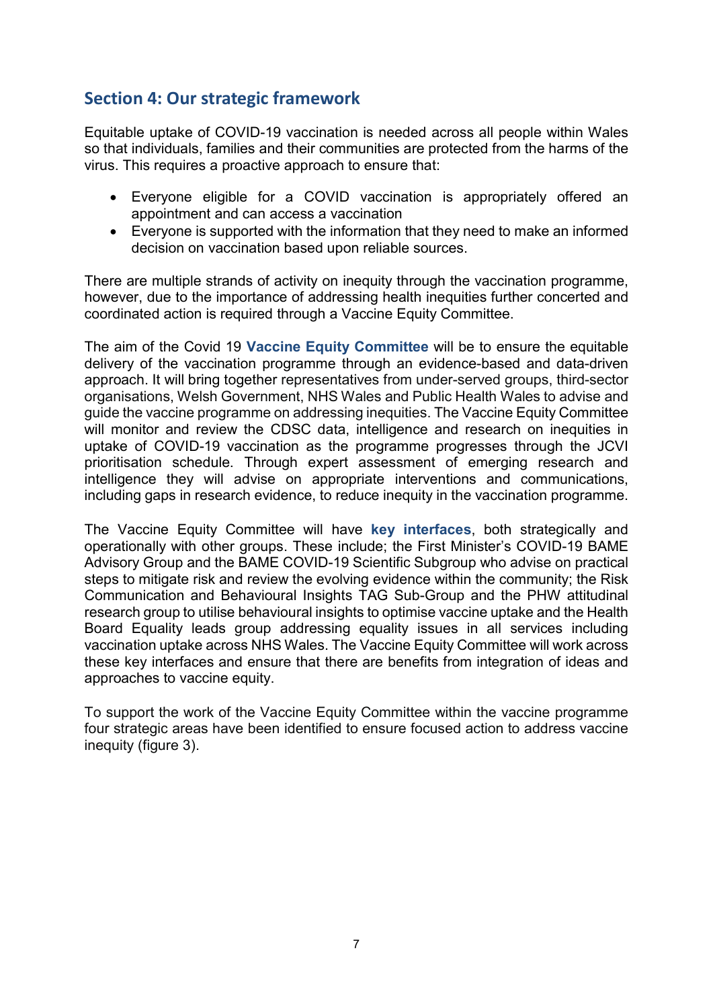# Section 4: Our strategic framework

Equitable uptake of COVID-19 vaccination is needed across all people within Wales so that individuals, families and their communities are protected from the harms of the virus. This requires a proactive approach to ensure that:

- Everyone eligible for a COVID vaccination is appropriately offered an appointment and can access a vaccination
- Everyone is supported with the information that they need to make an informed decision on vaccination based upon reliable sources.

There are multiple strands of activity on inequity through the vaccination programme, however, due to the importance of addressing health inequities further concerted and coordinated action is required through a Vaccine Equity Committee.

The aim of the Covid 19 Vaccine Equity Committee will be to ensure the equitable delivery of the vaccination programme through an evidence-based and data-driven approach. It will bring together representatives from under-served groups, third-sector organisations, Welsh Government, NHS Wales and Public Health Wales to advise and guide the vaccine programme on addressing inequities. The Vaccine Equity Committee will monitor and review the CDSC data, intelligence and research on inequities in uptake of COVID-19 vaccination as the programme progresses through the JCVI prioritisation schedule. Through expert assessment of emerging research and intelligence they will advise on appropriate interventions and communications, including gaps in research evidence, to reduce inequity in the vaccination programme.

The Vaccine Equity Committee will have key interfaces, both strategically and operationally with other groups. These include; the First Minister's COVID-19 BAME Advisory Group and the BAME COVID-19 Scientific Subgroup who advise on practical steps to mitigate risk and review the evolving evidence within the community; the Risk Communication and Behavioural Insights TAG Sub-Group and the PHW attitudinal research group to utilise behavioural insights to optimise vaccine uptake and the Health Board Equality leads group addressing equality issues in all services including vaccination uptake across NHS Wales. The Vaccine Equity Committee will work across these key interfaces and ensure that there are benefits from integration of ideas and approaches to vaccine equity.

To support the work of the Vaccine Equity Committee within the vaccine programme four strategic areas have been identified to ensure focused action to address vaccine inequity (figure 3).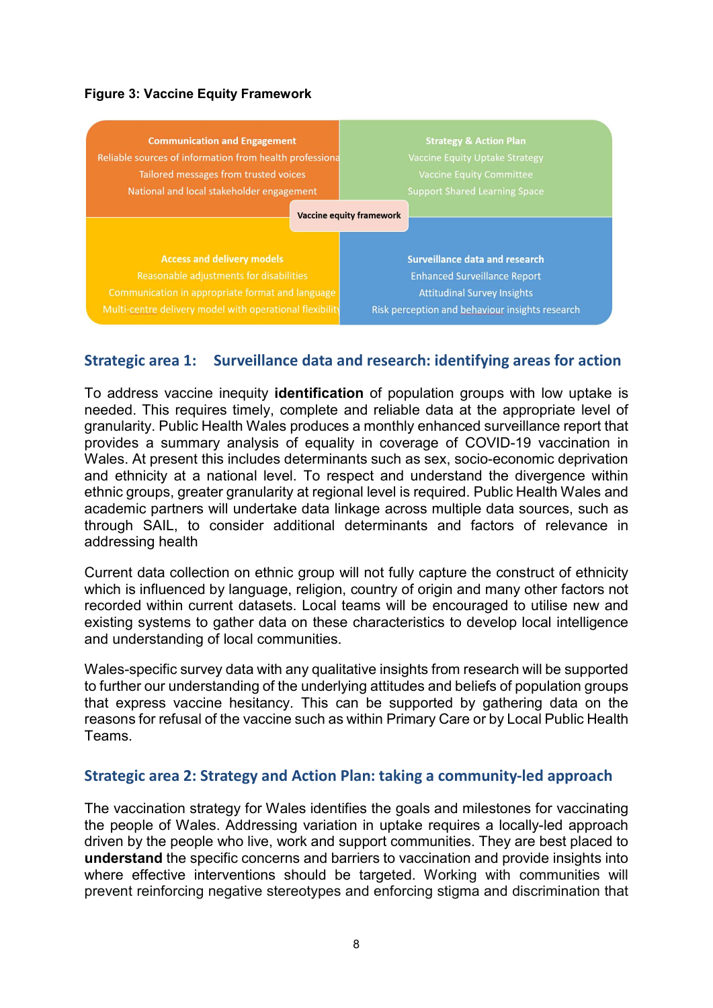#### Figure 3: Vaccine Equity Framework



## Strategic area 1: Surveillance data and research: identifying areas for action

To address vaccine inequity identification of population groups with low uptake is needed. This requires timely, complete and reliable data at the appropriate level of granularity. Public Health Wales produces a monthly enhanced surveillance report that provides a summary analysis of equality in coverage of COVID-19 vaccination in Wales. At present this includes determinants such as sex, socio-economic deprivation and ethnicity at a national level. To respect and understand the divergence within ethnic groups, greater granularity at regional level is required. Public Health Wales and academic partners will undertake data linkage across multiple data sources, such as through SAIL, to consider additional determinants and factors of relevance in addressing health

Current data collection on ethnic group will not fully capture the construct of ethnicity which is influenced by language, religion, country of origin and many other factors not recorded within current datasets. Local teams will be encouraged to utilise new and existing systems to gather data on these characteristics to develop local intelligence and understanding of local communities.

Wales-specific survey data with any qualitative insights from research will be supported to further our understanding of the underlying attitudes and beliefs of population groups that express vaccine hesitancy. This can be supported by gathering data on the reasons for refusal of the vaccine such as within Primary Care or by Local Public Health Teams.

#### Strategic area 2: Strategy and Action Plan: taking a community-led approach

The vaccination strategy for Wales identifies the goals and milestones for vaccinating the people of Wales. Addressing variation in uptake requires a locally-led approach driven by the people who live, work and support communities. They are best placed to understand the specific concerns and barriers to vaccination and provide insights into where effective interventions should be targeted. Working with communities will prevent reinforcing negative stereotypes and enforcing stigma and discrimination that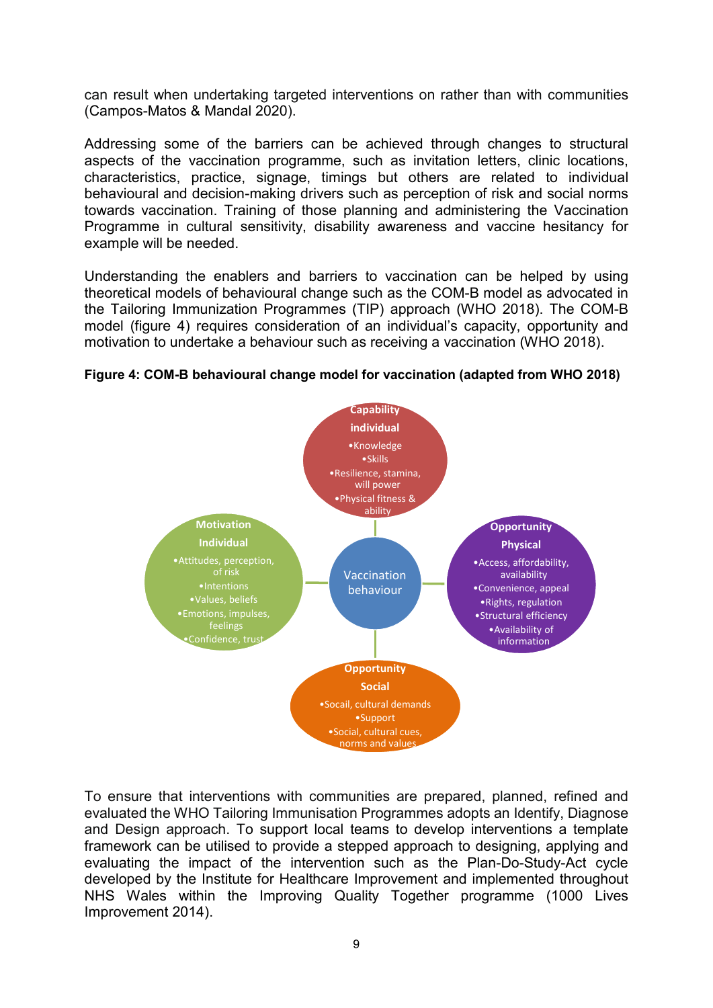can result when undertaking targeted interventions on rather than with communities (Campos-Matos & Mandal 2020).

Addressing some of the barriers can be achieved through changes to structural aspects of the vaccination programme, such as invitation letters, clinic locations, characteristics, practice, signage, timings but others are related to individual behavioural and decision-making drivers such as perception of risk and social norms towards vaccination. Training of those planning and administering the Vaccination Programme in cultural sensitivity, disability awareness and vaccine hesitancy for example will be needed.

Understanding the enablers and barriers to vaccination can be helped by using theoretical models of behavioural change such as the COM-B model as advocated in the Tailoring Immunization Programmes (TIP) approach (WHO 2018). The COM-B model (figure 4) requires consideration of an individual's capacity, opportunity and motivation to undertake a behaviour such as receiving a vaccination (WHO 2018).





To ensure that interventions with communities are prepared, planned, refined and evaluated the WHO Tailoring Immunisation Programmes adopts an Identify, Diagnose and Design approach. To support local teams to develop interventions a template framework can be utilised to provide a stepped approach to designing, applying and evaluating the impact of the intervention such as the Plan-Do-Study-Act cycle developed by the Institute for Healthcare Improvement and implemented throughout NHS Wales within the Improving Quality Together programme (1000 Lives Improvement 2014).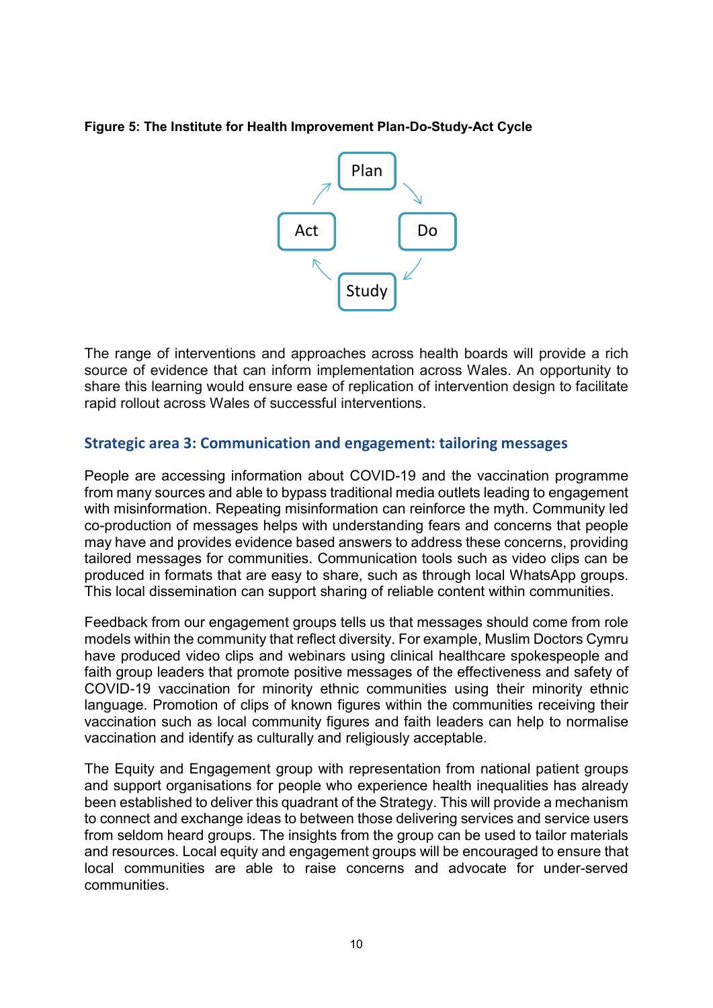#### Figure 5: The Institute for Health Improvement Plan-Do-Study-Act Cycle



The range of interventions and approaches across health boards will provide a rich source of evidence that can inform implementation across Wales. An opportunity to share this learning would ensure ease of replication of intervention design to facilitate rapid rollout across Wales of successful interventions.

## Strategic area 3: Communication and engagement: tailoring messages

People are accessing information about COVID-19 and the vaccination programme from many sources and able to bypass traditional media outlets leading to engagement with misinformation. Repeating misinformation can reinforce the myth. Community led co-production of messages helps with understanding fears and concerns that people may have and provides evidence based answers to address these concerns, providing tailored messages for communities. Communication tools such as video clips can be produced in formats that are easy to share, such as through local WhatsApp groups. This local dissemination can support sharing of reliable content within communities.

Feedback from our engagement groups tells us that messages should come from role models within the community that reflect diversity. For example, Muslim Doctors Cymru have produced video clips and webinars using clinical healthcare spokespeople and faith group leaders that promote positive messages of the effectiveness and safety of COVID-19 vaccination for minority ethnic communities using their minority ethnic language. Promotion of clips of known figures within the communities receiving their vaccination such as local community figures and faith leaders can help to normalise vaccination and identify as culturally and religiously acceptable.

The Equity and Engagement group with representation from national patient groups and support organisations for people who experience health inequalities has already been established to deliver this quadrant of the Strategy. This will provide a mechanism to connect and exchange ideas to between those delivering services and service users from seldom heard groups. The insights from the group can be used to tailor materials and resources. Local equity and engagement groups will be encouraged to ensure that local communities are able to raise concerns and advocate for under-served communities.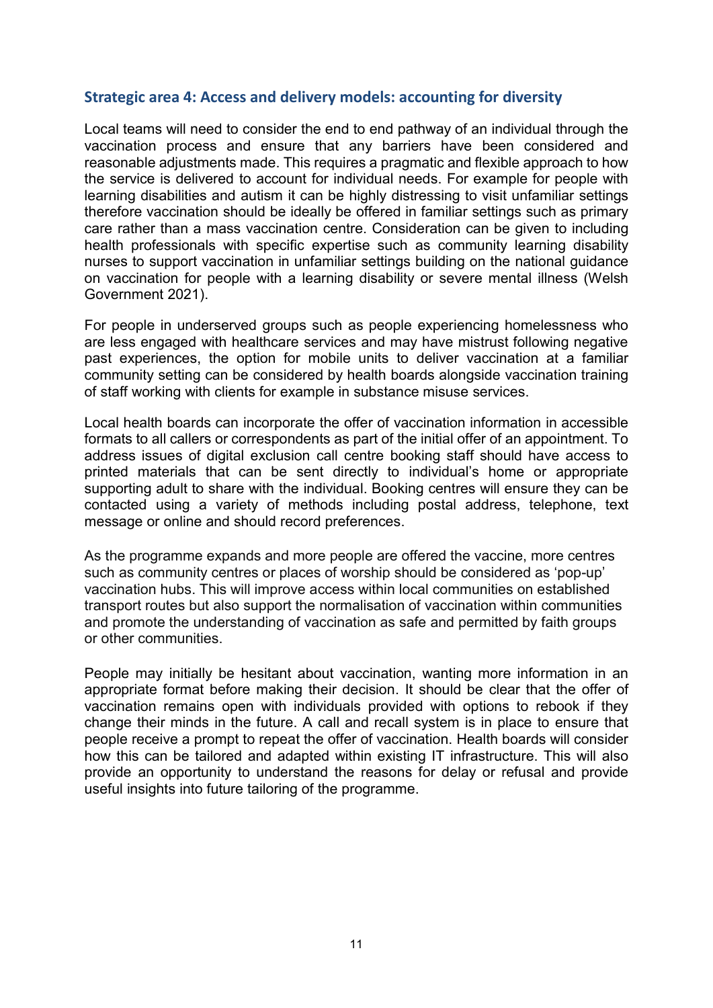## Strategic area 4: Access and delivery models: accounting for diversity

Local teams will need to consider the end to end pathway of an individual through the vaccination process and ensure that any barriers have been considered and reasonable adjustments made. This requires a pragmatic and flexible approach to how the service is delivered to account for individual needs. For example for people with learning disabilities and autism it can be highly distressing to visit unfamiliar settings therefore vaccination should be ideally be offered in familiar settings such as primary care rather than a mass vaccination centre. Consideration can be given to including health professionals with specific expertise such as community learning disability nurses to support vaccination in unfamiliar settings building on the national guidance on vaccination for people with a learning disability or severe mental illness (Welsh Government 2021).

For people in underserved groups such as people experiencing homelessness who are less engaged with healthcare services and may have mistrust following negative past experiences, the option for mobile units to deliver vaccination at a familiar community setting can be considered by health boards alongside vaccination training of staff working with clients for example in substance misuse services.

Local health boards can incorporate the offer of vaccination information in accessible formats to all callers or correspondents as part of the initial offer of an appointment. To address issues of digital exclusion call centre booking staff should have access to printed materials that can be sent directly to individual's home or appropriate supporting adult to share with the individual. Booking centres will ensure they can be contacted using a variety of methods including postal address, telephone, text message or online and should record preferences.

As the programme expands and more people are offered the vaccine, more centres such as community centres or places of worship should be considered as 'pop-up' vaccination hubs. This will improve access within local communities on established transport routes but also support the normalisation of vaccination within communities and promote the understanding of vaccination as safe and permitted by faith groups or other communities.

People may initially be hesitant about vaccination, wanting more information in an appropriate format before making their decision. It should be clear that the offer of vaccination remains open with individuals provided with options to rebook if they change their minds in the future. A call and recall system is in place to ensure that people receive a prompt to repeat the offer of vaccination. Health boards will consider how this can be tailored and adapted within existing IT infrastructure. This will also provide an opportunity to understand the reasons for delay or refusal and provide useful insights into future tailoring of the programme.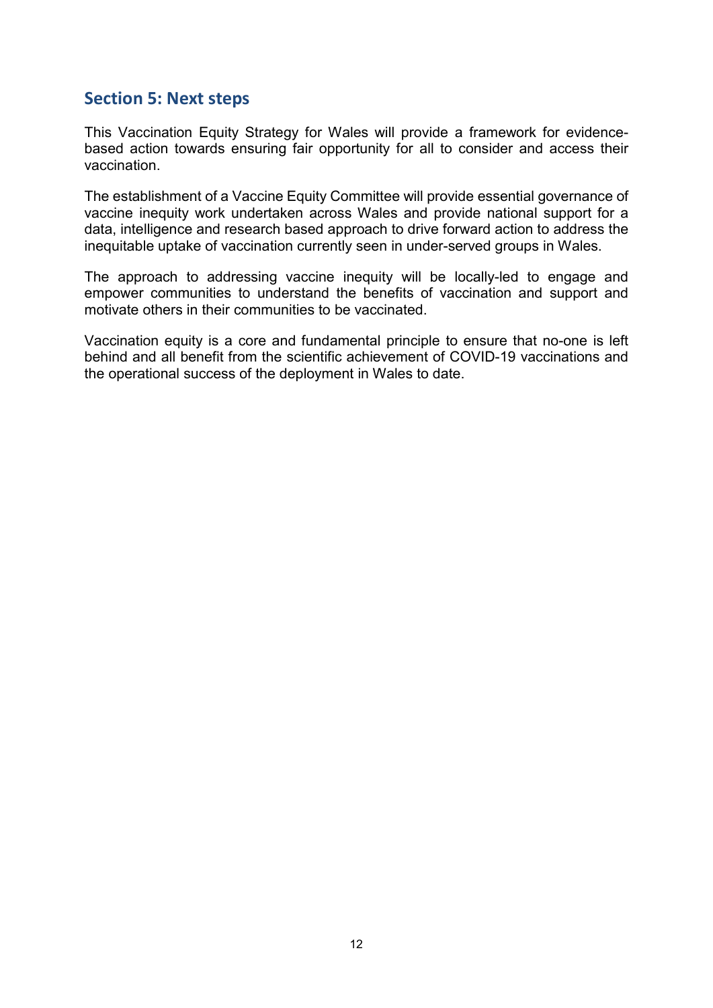# Section 5: Next steps

This Vaccination Equity Strategy for Wales will provide a framework for evidencebased action towards ensuring fair opportunity for all to consider and access their vaccination.

The establishment of a Vaccine Equity Committee will provide essential governance of vaccine inequity work undertaken across Wales and provide national support for a data, intelligence and research based approach to drive forward action to address the inequitable uptake of vaccination currently seen in under-served groups in Wales.

The approach to addressing vaccine inequity will be locally-led to engage and empower communities to understand the benefits of vaccination and support and motivate others in their communities to be vaccinated.

Vaccination equity is a core and fundamental principle to ensure that no-one is left behind and all benefit from the scientific achievement of COVID-19 vaccinations and the operational success of the deployment in Wales to date.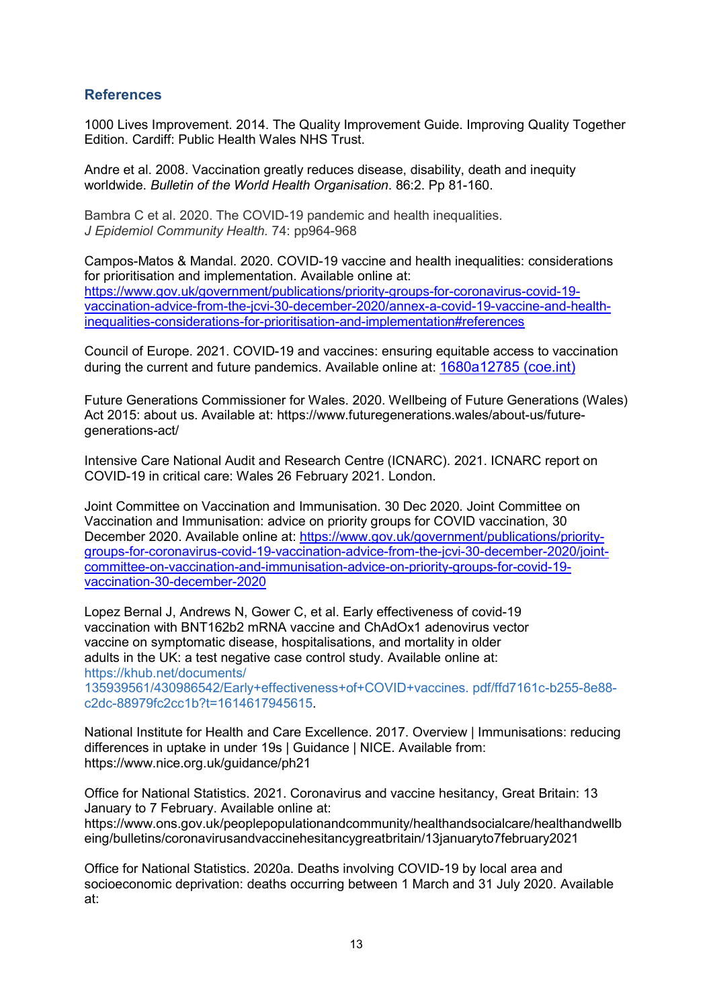### **References**

1000 Lives Improvement. 2014. The Quality Improvement Guide. Improving Quality Together Edition. Cardiff: Public Health Wales NHS Trust.

Andre et al. 2008. Vaccination greatly reduces disease, disability, death and inequity worldwide. Bulletin of the World Health Organisation. 86:2. Pp 81-160.

Bambra C et al. 2020. The COVID-19 pandemic and health inequalities. J Epidemiol Community Health. 74: pp964-968

Campos-Matos & Mandal. 2020. COVID-19 vaccine and health inequalities: considerations for prioritisation and implementation. Available online at: https://www.gov.uk/government/publications/priority-groups-for-coronavirus-covid-19 vaccination-advice-from-the-jcvi-30-december-2020/annex-a-covid-19-vaccine-and-healthinequalities-considerations-for-prioritisation-and-implementation#references

Council of Europe. 2021. COVID-19 and vaccines: ensuring equitable access to vaccination during the current and future pandemics. Available online at: 1680a12785 (coe.int)

Future Generations Commissioner for Wales. 2020. Wellbeing of Future Generations (Wales) Act 2015: about us. Available at: https://www.futuregenerations.wales/about-us/futuregenerations-act/

Intensive Care National Audit and Research Centre (ICNARC). 2021. ICNARC report on COVID-19 in critical care: Wales 26 February 2021. London.

Joint Committee on Vaccination and Immunisation. 30 Dec 2020. Joint Committee on Vaccination and Immunisation: advice on priority groups for COVID vaccination, 30 December 2020. Available online at: https://www.gov.uk/government/publications/prioritygroups-for-coronavirus-covid-19-vaccination-advice-from-the-jcvi-30-december-2020/jointcommittee-on-vaccination-and-immunisation-advice-on-priority-groups-for-covid-19 vaccination-30-december-2020

Lopez Bernal J, Andrews N, Gower C, et al. Early effectiveness of covid-19 vaccination with BNT162b2 mRNA vaccine and ChAdOx1 adenovirus vector vaccine on symptomatic disease, hospitalisations, and mortality in older adults in the UK: a test negative case control study. Available online at: https://khub.net/documents/

135939561/430986542/Early+effectiveness+of+COVID+vaccines. pdf/ffd7161c-b255-8e88 c2dc-88979fc2cc1b?t=1614617945615.

National Institute for Health and Care Excellence. 2017. Overview | Immunisations: reducing differences in uptake in under 19s | Guidance | NICE. Available from: https://www.nice.org.uk/guidance/ph21

Office for National Statistics. 2021. Coronavirus and vaccine hesitancy, Great Britain: 13 January to 7 February. Available online at: https://www.ons.gov.uk/peoplepopulationandcommunity/healthandsocialcare/healthandwellb eing/bulletins/coronavirusandvaccinehesitancygreatbritain/13januaryto7february2021

Office for National Statistics. 2020a. Deaths involving COVID-19 by local area and socioeconomic deprivation: deaths occurring between 1 March and 31 July 2020. Available at: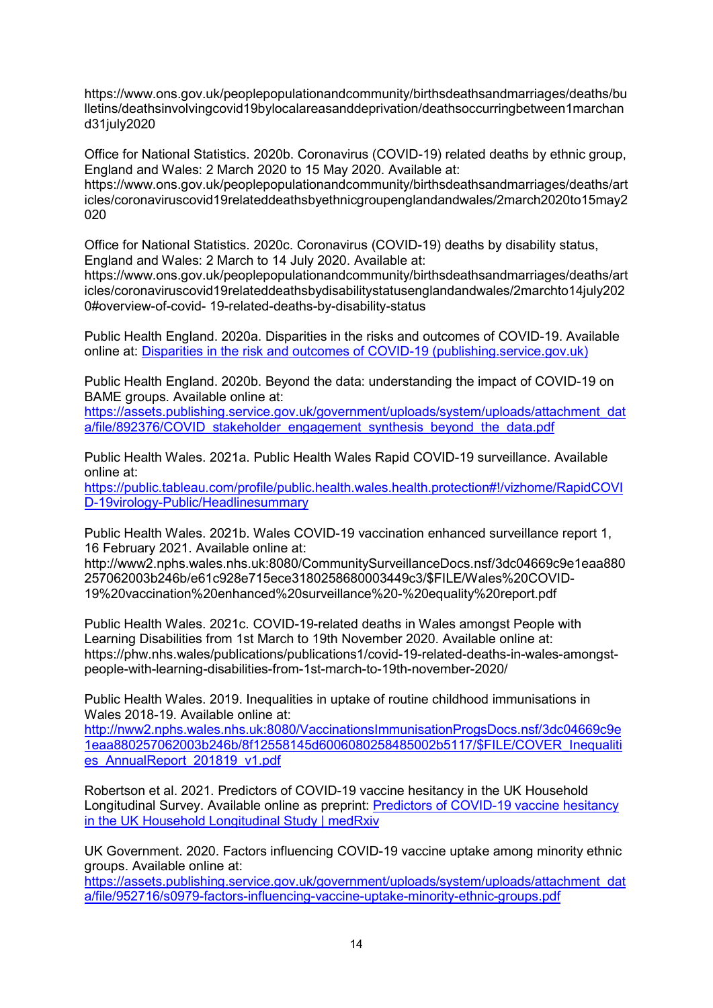https://www.ons.gov.uk/peoplepopulationandcommunity/birthsdeathsandmarriages/deaths/bu lletins/deathsinvolvingcovid19bylocalareasanddeprivation/deathsoccurringbetween1marchan d31july2020

Office for National Statistics. 2020b. Coronavirus (COVID-19) related deaths by ethnic group, England and Wales: 2 March 2020 to 15 May 2020. Available at:

https://www.ons.gov.uk/peoplepopulationandcommunity/birthsdeathsandmarriages/deaths/art icles/coronaviruscovid19relateddeathsbyethnicgroupenglandandwales/2march2020to15may2 020

Office for National Statistics. 2020c. Coronavirus (COVID-19) deaths by disability status, England and Wales: 2 March to 14 July 2020. Available at:

https://www.ons.gov.uk/peoplepopulationandcommunity/birthsdeathsandmarriages/deaths/art icles/coronaviruscovid19relateddeathsbydisabilitystatusenglandandwales/2marchto14july202 0#overview-of-covid- 19-related-deaths-by-disability-status

Public Health England. 2020a. Disparities in the risks and outcomes of COVID-19. Available online at: Disparities in the risk and outcomes of COVID-19 (publishing.service.gov.uk)

Public Health England. 2020b. Beyond the data: understanding the impact of COVID-19 on BAME groups. Available online at:

https://assets.publishing.service.gov.uk/government/uploads/system/uploads/attachment\_dat a/file/892376/COVID\_stakeholder\_engagement\_synthesis\_beyond\_the\_data.pdf

Public Health Wales. 2021a. Public Health Wales Rapid COVID-19 surveillance. Available online at:

https://public.tableau.com/profile/public.health.wales.health.protection#!/vizhome/RapidCOVI D-19virology-Public/Headlinesummary

Public Health Wales. 2021b. Wales COVID-19 vaccination enhanced surveillance report 1, 16 February 2021. Available online at:

http://www2.nphs.wales.nhs.uk:8080/CommunitySurveillanceDocs.nsf/3dc04669c9e1eaa880 257062003b246b/e61c928e715ece3180258680003449c3/\$FILE/Wales%20COVID-19%20vaccination%20enhanced%20surveillance%20-%20equality%20report.pdf

Public Health Wales. 2021c. COVID-19-related deaths in Wales amongst People with Learning Disabilities from 1st March to 19th November 2020. Available online at: https://phw.nhs.wales/publications/publications1/covid-19-related-deaths-in-wales-amongstpeople-with-learning-disabilities-from-1st-march-to-19th-november-2020/

Public Health Wales. 2019. Inequalities in uptake of routine childhood immunisations in Wales 2018-19. Available online at:

http://nww2.nphs.wales.nhs.uk:8080/VaccinationsImmunisationProgsDocs.nsf/3dc04669c9e 1eaa880257062003b246b/8f12558145d6006080258485002b5117/\$FILE/COVER\_Inequaliti es\_AnnualReport\_201819\_v1.pdf

Robertson et al. 2021. Predictors of COVID-19 vaccine hesitancy in the UK Household Longitudinal Survey. Available online as preprint: Predictors of COVID-19 vaccine hesitancy in the UK Household Longitudinal Study | medRxiv

UK Government. 2020. Factors influencing COVID-19 vaccine uptake among minority ethnic groups. Available online at:

https://assets.publishing.service.gov.uk/government/uploads/system/uploads/attachment\_dat a/file/952716/s0979-factors-influencing-vaccine-uptake-minority-ethnic-groups.pdf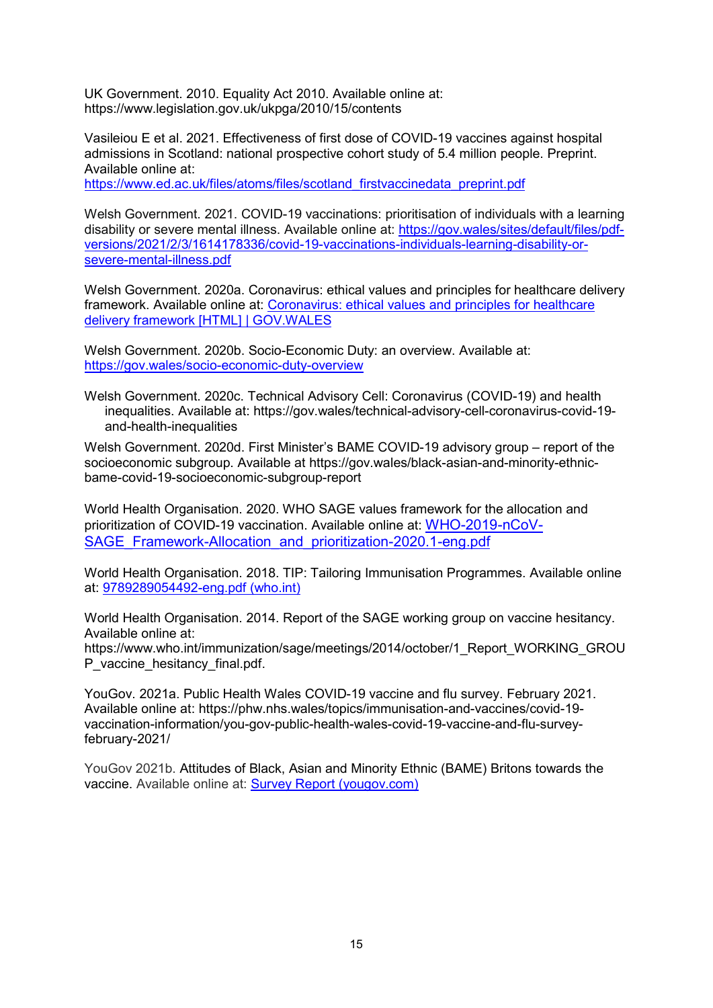UK Government. 2010. Equality Act 2010. Available online at: https://www.legislation.gov.uk/ukpga/2010/15/contents

Vasileiou E et al. 2021. Effectiveness of first dose of COVID-19 vaccines against hospital admissions in Scotland: national prospective cohort study of 5.4 million people. Preprint. Available online at:

https://www.ed.ac.uk/files/atoms/files/scotland\_firstvaccinedata\_preprint.pdf

Welsh Government. 2021. COVID-19 vaccinations: prioritisation of individuals with a learning disability or severe mental illness. Available online at: https://gov.wales/sites/default/files/pdfversions/2021/2/3/1614178336/covid-19-vaccinations-individuals-learning-disability-orsevere-mental-illness.pdf

Welsh Government. 2020a. Coronavirus: ethical values and principles for healthcare delivery framework. Available online at: Coronavirus: ethical values and principles for healthcare delivery framework [HTML] | GOV.WALES

Welsh Government. 2020b. Socio-Economic Duty: an overview. Available at: https://gov.wales/socio-economic-duty-overview

Welsh Government. 2020c. Technical Advisory Cell: Coronavirus (COVID-19) and health inequalities. Available at: https://gov.wales/technical-advisory-cell-coronavirus-covid-19 and-health-inequalities

Welsh Government. 2020d. First Minister's BAME COVID-19 advisory group – report of the socioeconomic subgroup. Available at https://gov.wales/black-asian-and-minority-ethnicbame-covid-19-socioeconomic-subgroup-report

World Health Organisation. 2020. WHO SAGE values framework for the allocation and prioritization of COVID-19 vaccination. Available online at: WHO-2019-nCoV-SAGE\_Framework-Allocation\_and\_prioritization-2020.1-eng.pdf

World Health Organisation. 2018. TIP: Tailoring Immunisation Programmes. Available online at: 9789289054492-eng.pdf (who.int)

World Health Organisation. 2014. Report of the SAGE working group on vaccine hesitancy. Available online at:

https://www.who.int/immunization/sage/meetings/2014/october/1\_Report\_WORKING\_GROU P\_vaccine\_hesitancy\_final.pdf.

YouGov. 2021a. Public Health Wales COVID-19 vaccine and flu survey. February 2021. Available online at: https://phw.nhs.wales/topics/immunisation-and-vaccines/covid-19 vaccination-information/you-gov-public-health-wales-covid-19-vaccine-and-flu-surveyfebruary-2021/

YouGov 2021b. Attitudes of Black, Asian and Minority Ethnic (BAME) Britons towards the vaccine. Available online at: Survey Report (yougov.com)